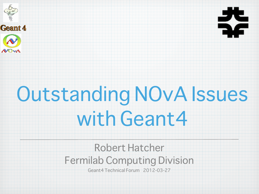



## Outstanding NOvA Issues with Geant4

Robert Hatcher Fermilab Computing Division

Geant4 Technical Forum 2012-03-27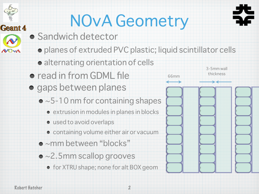## NOvA Geometry

- **Sandwich detector** 
	- planes of extruded PVC plastic; liquid scintillator cells
		- alternating orientation of cells
- read in from GDML file
- gaps between planes
	- $\bullet$  ~5-10 nm for containing shapes
		- extrusion in modules in planes in blocks
		- used to avoid overlaps
		- containing volume either air or vacuum
	- ~mm between "blocks"
	- ~2.5mm scallop grooves
		- for XTRU shape; none for alt BOX geom



**Geant 4**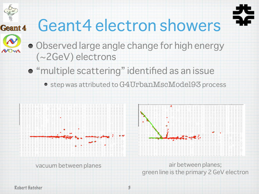#### Geant4 electron showers Geant 4



Observed large angle change for high energy (~2GeV) electrons

**• "multiple scattering" identified as an issue** 

step was attributed to G4UrbanMscModel93 process





vacuum between planes air between planes; green line is the primary 2 GeV electron

Robert Hatcher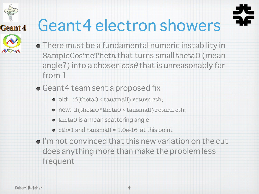# Geant 4

### Geant4 electron showers



- There must be a fundamental numeric instability in SampleCosineTheta that turns small theta0 (mean angle?) into a chosen *cosθ* that is unreasonably far from 1
- Geant4 team sent a proposed fix
	- old: if(theta0 < tausmall) return cth;
	- new: if(theta0\*theta0 < tausmall) return cth;
	- theta0 is a mean scattering angle
	- $\bullet$  cth=1 and tausmall = 1.0e-16 at this point
- $\bullet$  I'm not convinced that this new variation on the cut does anything more than make the problem less frequent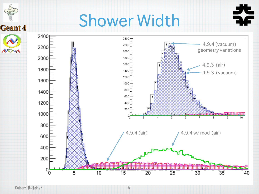### Shower Width



5

Robert Hatcher